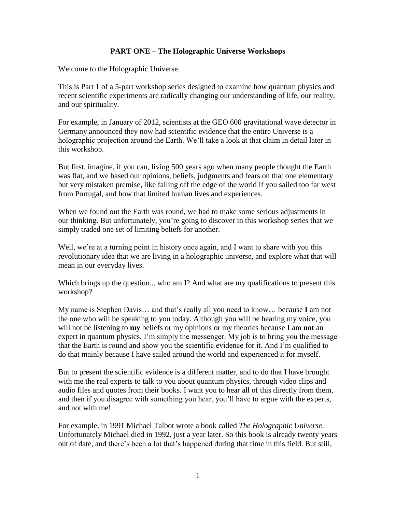## **PART ONE – The Holographic Universe Workshops**

Welcome to the Holographic Universe.

This is Part 1 of a 5-part workshop series designed to examine how quantum physics and recent scientific experiments are radically changing our understanding of life, our reality, and our spirituality.

For example, in January of 2012, scientists at the GEO 600 gravitational wave detector in Germany announced they now had scientific evidence that the entire Universe is a holographic projection around the Earth. We"ll take a look at that claim in detail later in this workshop.

But first, imagine, if you can, living 500 years ago when many people thought the Earth was flat, and we based our opinions, beliefs, judgments and fears on that one elementary but very mistaken premise, like falling off the edge of the world if you sailed too far west from Portugal, and how that limited human lives and experiences.

When we found out the Earth was round, we had to make some serious adjustments in our thinking. But unfortunately, you"re going to discover in this workshop series that we simply traded one set of limiting beliefs for another.

Well, we're at a turning point in history once again, and I want to share with you this revolutionary idea that we are living in a holographic universe, and explore what that will mean in our everyday lives.

Which brings up the question... who am I? And what are my qualifications to present this workshop?

My name is Stephen Davis… and that"s really all you need to know… because **I** am not the one who will be speaking to you today. Although you will be hearing my voice, you will not be listening to **my** beliefs or my opinions or my theories because **I** am **not** an expert in quantum physics. I'm simply the messenger. My job is to bring you the message that the Earth is round and show you the scientific evidence for it. And I"m qualified to do that mainly because I have sailed around the world and experienced it for myself.

But to present the scientific evidence is a different matter, and to do that I have brought with me the real experts to talk to you about quantum physics, through video clips and audio files and quotes from their books. I want you to hear all of this directly from them, and then if you disagree with something you hear, you"ll have to argue with the experts, and not with me!

For example, in 1991 Michael Talbot wrote a book called *The Holographic Universe*. Unfortunately Michael died in 1992, just a year later. So this book is already twenty years out of date, and there"s been a lot that"s happened during that time in this field. But still,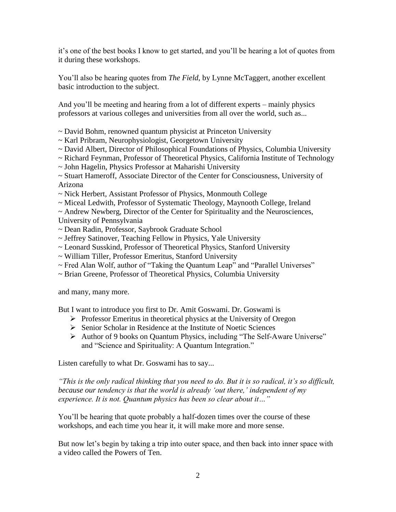it"s one of the best books I know to get started, and you"ll be hearing a lot of quotes from it during these workshops.

You"ll also be hearing quotes from *The Field*, by Lynne McTaggert, another excellent basic introduction to the subject.

And you"ll be meeting and hearing from a lot of different experts – mainly physics professors at various colleges and universities from all over the world, such as...

~ David Bohm, renowned quantum physicist at Princeton University

- ~ Karl Pribram, Neurophysiologist, Georgetown University
- ~ David Albert, Director of Philosophical Foundations of Physics, Columbia University
- ~ Richard Feynman, Professor of Theoretical Physics, California Institute of Technology
- ~ John Hagelin, Physics Professor at Maharishi University

~ Stuart Hameroff, Associate Director of the Center for Consciousness, University of Arizona

- ~ Nick Herbert, Assistant Professor of Physics, Monmouth College
- ~ Miceal Ledwith, Professor of Systematic Theology, Maynooth College, Ireland
- ~ Andrew Newberg, Director of the Center for Spirituality and the Neurosciences,
- University of Pennsylvania
- ~ Dean Radin, Professor, Saybrook Graduate School
- ~ Jeffrey Satinover, Teaching Fellow in Physics, Yale University
- ~ Leonard Susskind, Professor of Theoretical Physics, Stanford University
- ~ William Tiller, Professor Emeritus, Stanford University
- ~ Fred Alan Wolf, author of "Taking the Quantum Leap" and "Parallel Universes"
- ~ Brian Greene, Professor of Theoretical Physics, Columbia University

and many, many more.

But I want to introduce you first to Dr. Amit Goswami. Dr. Goswami is

- $\triangleright$  Professor Emeritus in theoretical physics at the University of Oregon
- $\triangleright$  Senior Scholar in Residence at the Institute of Noetic Sciences
- Author of 9 books on Quantum Physics, including "The Self-Aware Universe" and "Science and Spirituality: A Quantum Integration."

Listen carefully to what Dr. Goswami has to say...

*"This is the only radical thinking that you need to do. But it is so radical, it"s so difficult,*  because our tendency is that the world is already 'out there,' independent of my *experience. It is not. Quantum physics has been so clear about it…"*

You"ll be hearing that quote probably a half-dozen times over the course of these workshops, and each time you hear it, it will make more and more sense.

But now let's begin by taking a trip into outer space, and then back into inner space with a video called the Powers of Ten.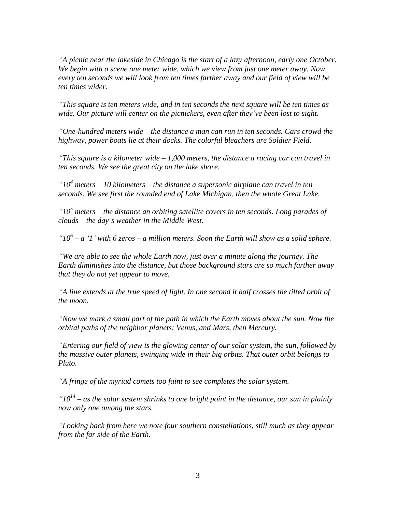*"A picnic near the lakeside in Chicago is the start of a lazy afternoon, early one October. We begin with a scene one meter wide, which we view from just one meter away. Now every ten seconds we will look from ten times farther away and our field of view will be ten times wider.*

*"This square is ten meters wide, and in ten seconds the next square will be ten times as wide. Our picture will center on the picnickers, even after they"ve been lost to sight.*

*"One-hundred meters wide – the distance a man can run in ten seconds. Cars crowd the highway, power boats lie at their docks. The colorful bleachers are Soldier Field.*

*"This square is a kilometer wide – 1,000 meters, the distance a racing car can travel in ten seconds. We see the great city on the lake shore.*

*"10<sup>4</sup> meters – 10 kilometers – the distance a supersonic airplane can travel in ten seconds. We see first the rounded end of Lake Michigan, then the whole Great Lake.*

*"10<sup>5</sup> meters – the distance an orbiting satellite covers in ten seconds. Long parades of clouds – the day"s weather in the Middle West.*

*"10<sup>6</sup> – a "1" with 6 zeros – a million meters. Soon the Earth will show as a solid sphere.*

*"We are able to see the whole Earth now, just over a minute along the journey. The Earth diminishes into the distance, but those background stars are so much farther away that they do not yet appear to move.*

*"A line extends at the true speed of light. In one second it half crosses the tilted orbit of the moon.*

*"Now we mark a small part of the path in which the Earth moves about the sun. Now the orbital paths of the neighbor planets: Venus, and Mars, then Mercury.*

*"Entering our field of view is the glowing center of our solar system, the sun, followed by the massive outer planets, swinging wide in their big orbits. That outer orbit belongs to Pluto.*

*"A fringe of the myriad comets too faint to see completes the solar system.*

 $"10^{14}$  – as the solar system shrinks to one bright point in the distance, our sun in plainly *now only one among the stars.*

*"Looking back from here we note four southern constellations, still much as they appear from the far side of the Earth.*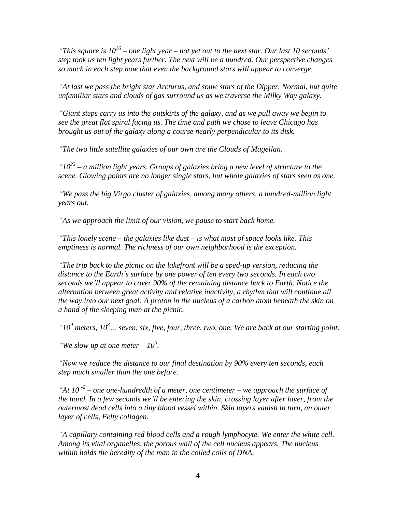*"This square is 10<sup>16</sup> – one light year – not yet out to the next star. Our last 10 seconds" step took us ten light years further. The next will be a hundred. Our perspective changes so much in each step now that even the background stars will appear to converge.*

*"At last we pass the bright star Arcturus, and some stars of the Dipper. Normal, but quite unfamiliar stars and clouds of gas surround us as we traverse the Milky Way galaxy.*

*"Giant steps carry us into the outskirts of the galaxy, and as we pull away we begin to see the great flat spiral facing us. The time and path we chose to leave Chicago has brought us out of the galaxy along a course nearly perpendicular to its disk.*

*"The two little satellite galaxies of our own are the Clouds of Magellan.*

*"10<sup>22</sup> – a million light years. Groups of galaxies bring a new level of structure to the scene. Glowing points are no longer single stars, but whole galaxies of stars seen as one.*

*"We pass the big Virgo cluster of galaxies, among many others, a hundred-million light years out.*

*"As we approach the limit of our vision, we pause to start back home.*

*"This lonely scene – the galaxies like dust – is what most of space looks like. This emptiness is normal. The richness of our own neighborhood is the exception.*

*"The trip back to the picnic on the lakefront will be a sped-up version, reducing the distance to the Earth"s surface by one power of ten every two seconds. In each two seconds we"ll appear to cover 90% of the remaining distance back to Earth. Notice the alternation between great activity and relative inactivity, a rhythm that will continue all the way into our next goal: A proton in the nucleus of a carbon atom beneath the skin on a hand of the sleeping man at the picnic.* 

*"10<sup>9</sup> meters, 10<sup>8</sup>… seven, six, five, four, three, two, one. We are back at our starting point.*

"We slow up at one meter  $-10^0$ .

*"Now we reduce the distance to our final destination by 90% every ten seconds, each step much smaller than the one before.*

*"At 10 -2 – one one-hundredth of a meter, one centimeter – we approach the surface of the hand. In a few seconds we"ll be entering the skin, crossing layer after layer, from the outermost dead cells into a tiny blood vessel within. Skin layers vanish in turn, an outer layer of cells, Felty collagen.*

*"A capillary containing red blood cells and a rough lymphocyte. We enter the white cell. Among its vital organelles, the porous wall of the cell nucleus appears. The nucleus within holds the heredity of the man in the coiled coils of DNA.*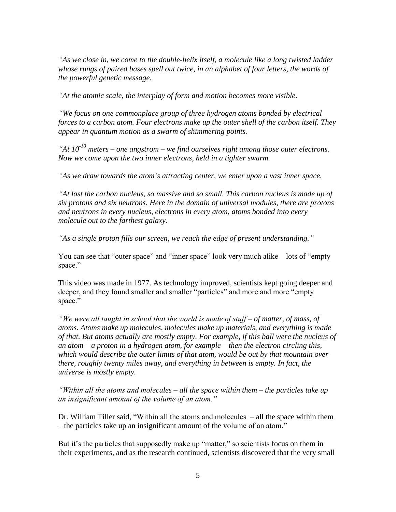*"As we close in, we come to the double-helix itself, a molecule like a long twisted ladder whose rungs of paired bases spell out twice, in an alphabet of four letters, the words of the powerful genetic message.*

*"At the atomic scale, the interplay of form and motion becomes more visible.*

*"We focus on one commonplace group of three hydrogen atoms bonded by electrical forces to a carbon atom. Four electrons make up the outer shell of the carbon itself. They appear in quantum motion as a swarm of shimmering points.* 

*"At 10-10 meters – one angstrom – we find ourselves right among those outer electrons. Now we come upon the two inner electrons, held in a tighter swarm.*

*"As we draw towards the atom"s attracting center, we enter upon a vast inner space.* 

*"At last the carbon nucleus, so massive and so small. This carbon nucleus is made up of six protons and six neutrons. Here in the domain of universal modules, there are protons and neutrons in every nucleus, electrons in every atom, atoms bonded into every molecule out to the farthest galaxy.*

*"As a single proton fills our screen, we reach the edge of present understanding."*

You can see that "outer space" and "inner space" look very much alike – lots of "empty" space."

This video was made in 1977. As technology improved, scientists kept going deeper and deeper, and they found smaller and smaller "particles" and more and more "empty" space."

*"We were all taught in school that the world is made of stuff – of matter, of mass, of atoms. Atoms make up molecules, molecules make up materials, and everything is made of that. But atoms actually are mostly empty. For example, if this ball were the nucleus of an atom – a proton in a hydrogen atom, for example – then the electron circling this, which would describe the outer limits of that atom, would be out by that mountain over there, roughly twenty miles away, and everything in between is empty. In fact, the universe is mostly empty.*

*"Within all the atoms and molecules – all the space within them – the particles take up an insignificant amount of the volume of an atom."*

Dr. William Tiller said, "Within all the atoms and molecules – all the space within them – the particles take up an insignificant amount of the volume of an atom."

But it's the particles that supposedly make up "matter," so scientists focus on them in their experiments, and as the research continued, scientists discovered that the very small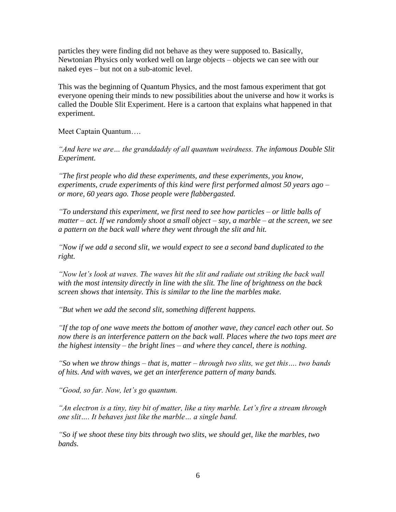particles they were finding did not behave as they were supposed to. Basically, Newtonian Physics only worked well on large objects – objects we can see with our naked eyes – but not on a sub-atomic level.

This was the beginning of Quantum Physics, and the most famous experiment that got everyone opening their minds to new possibilities about the universe and how it works is called the Double Slit Experiment. Here is a cartoon that explains what happened in that experiment.

Meet Captain Quantum….

*"And here we are… the granddaddy of all quantum weirdness. The infamous Double Slit Experiment.* 

*"The first people who did these experiments, and these experiments, you know, experiments, crude experiments of this kind were first performed almost 50 years ago – or more, 60 years ago. Those people were flabbergasted.*

*"To understand this experiment, we first need to see how particles – or little balls of matter – act. If we randomly shoot a small object – say, a marble – at the screen, we see a pattern on the back wall where they went through the slit and hit.* 

*"Now if we add a second slit, we would expect to see a second band duplicated to the right.*

*"Now let"s look at waves. The waves hit the slit and radiate out striking the back wall with the most intensity directly in line with the slit. The line of brightness on the back screen shows that intensity. This is similar to the line the marbles make.*

*"But when we add the second slit, something different happens.*

*"If the top of one wave meets the bottom of another wave, they cancel each other out. So now there is an interference pattern on the back wall. Places where the two tops meet are the highest intensity – the bright lines – and where they cancel, there is nothing.*

*"So when we throw things – that is, matter – through two slits, we get this…. two bands of hits. And with waves, we get an interference pattern of many bands.*

*"Good, so far. Now, let"s go quantum.*

*"An electron is a tiny, tiny bit of matter, like a tiny marble. Let"s fire a stream through one slit…. It behaves just like the marble… a single band.*

*"So if we shoot these tiny bits through two slits, we should get, like the marbles, two bands.*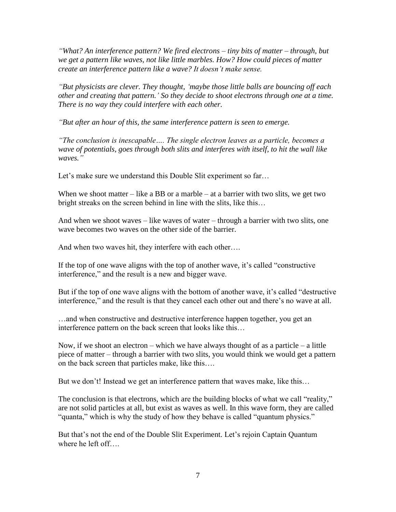*"What? An interference pattern? We fired electrons – tiny bits of matter – through, but we get a pattern like waves, not like little marbles. How? How could pieces of matter create an interference pattern like a wave? It doesn"t make sense.*

*"But physicists are clever. They thought, "maybe those little balls are bouncing off each other and creating that pattern." So they decide to shoot electrons through one at a time. There is no way they could interfere with each other.*

*"But after an hour of this, the same interference pattern is seen to emerge.*

*"The conclusion is inescapable…. The single electron leaves as a particle, becomes a wave of potentials, goes through both slits and interferes with itself, to hit the wall like waves."*

Let's make sure we understand this Double Slit experiment so far...

When we shoot matter – like a BB or a marble – at a barrier with two slits, we get two bright streaks on the screen behind in line with the slits, like this…

And when we shoot waves – like waves of water – through a barrier with two slits, one wave becomes two waves on the other side of the barrier.

And when two waves hit, they interfere with each other….

If the top of one wave aligns with the top of another wave, it's called "constructive" interference," and the result is a new and bigger wave.

But if the top of one wave aligns with the bottom of another wave, it"s called "destructive interference," and the result is that they cancel each other out and there"s no wave at all.

…and when constructive and destructive interference happen together, you get an interference pattern on the back screen that looks like this…

Now, if we shoot an electron – which we have always thought of as a particle – a little piece of matter – through a barrier with two slits, you would think we would get a pattern on the back screen that particles make, like this….

But we don't! Instead we get an interference pattern that waves make, like this...

The conclusion is that electrons, which are the building blocks of what we call "reality," are not solid particles at all, but exist as waves as well. In this wave form, they are called "quanta," which is why the study of how they behave is called "quantum physics."

But that's not the end of the Double Slit Experiment. Let's rejoin Captain Quantum where he left off….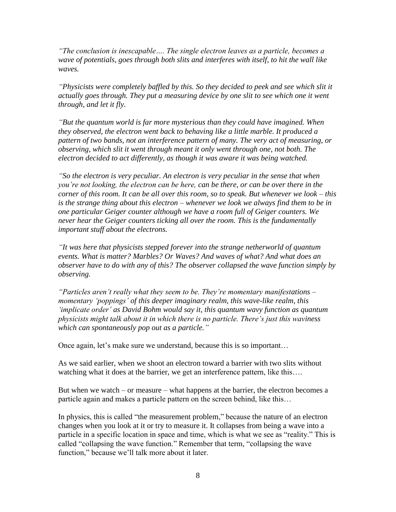*"The conclusion is inescapable…. The single electron leaves as a particle, becomes a wave of potentials, goes through both slits and interferes with itself, to hit the wall like waves.*

*"Physicists were completely baffled by this. So they decided to peek and see which slit it actually goes through. They put a measuring device by one slit to see which one it went through, and let it fly.*

*"But the quantum world is far more mysterious than they could have imagined. When they observed, the electron went back to behaving like a little marble. It produced a pattern of two bands, not an interference pattern of many. The very act of measuring, or observing, which slit it went through meant it only went through one, not both. The electron decided to act differently, as though it was aware it was being watched.* 

*"So the electron is very peculiar. An electron is very peculiar in the sense that when you"re not looking, the electron can be here, can be there, or can be over there in the corner of this room. It can be all over this room, so to speak. But whenever we look – this is the strange thing about this electron – whenever we look we always find them to be in one particular Geiger counter although we have a room full of Geiger counters. We never hear the Geiger counters ticking all over the room. This is the fundamentally important stuff about the electrons.* 

*"It was here that physicists stepped forever into the strange netherworld of quantum events. What is matter? Marbles? Or Waves? And waves of what? And what does an observer have to do with any of this? The observer collapsed the wave function simply by observing.* 

*"Particles aren"t really what they seem to be. They"re momentary manifestations – momentary "poppings" of this deeper imaginary realm, this wave-like realm, this "implicate order" as David Bohm would say it, this quantum wavy function as quantum physicists might talk about it in which there is no particle. There"s just this waviness which can spontaneously pop out as a particle."*

Once again, let's make sure we understand, because this is so important...

As we said earlier, when we shoot an electron toward a barrier with two slits without watching what it does at the barrier, we get an interference pattern, like this….

But when we watch – or measure – what happens at the barrier, the electron becomes a particle again and makes a particle pattern on the screen behind, like this…

In physics, this is called "the measurement problem," because the nature of an electron changes when you look at it or try to measure it. It collapses from being a wave into a particle in a specific location in space and time, which is what we see as "reality." This is called "collapsing the wave function." Remember that term, "collapsing the wave function," because we"ll talk more about it later.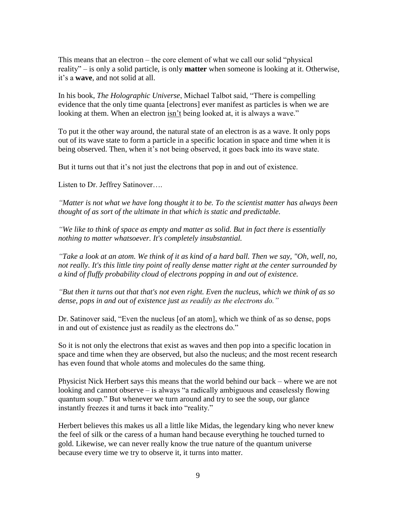This means that an electron – the core element of what we call our solid "physical reality" – is only a solid particle, is only **matter** when someone is looking at it. Otherwise, it"s a **wave**, and not solid at all.

In his book, *The Holographic Universe*, Michael Talbot said, "There is compelling evidence that the only time quanta [electrons] ever manifest as particles is when we are looking at them. When an electron isn't being looked at, it is always a wave."

To put it the other way around, the natural state of an electron is as a wave. It only pops out of its wave state to form a particle in a specific location in space and time when it is being observed. Then, when it's not being observed, it goes back into its wave state.

But it turns out that it's not just the electrons that pop in and out of existence.

Listen to Dr. Jeffrey Satinover….

*"Matter is not what we have long thought it to be. To the scientist matter has always been thought of as sort of the ultimate in that which is static and predictable.*

*"We like to think of space as empty and matter as solid. But in fact there is essentially nothing to matter whatsoever. It's completely insubstantial.* 

*"Take a look at an atom. We think of it as kind of a hard ball. Then we say, "Oh, well, no, not really. It's this little tiny point of really dense matter right at the center surrounded by a kind of fluffy probability cloud of electrons popping in and out of existence.*

*"But then it turns out that that's not even right. Even the nucleus, which we think of as so dense, pops in and out of existence just as readily as the electrons do."*

Dr. Satinover said, "Even the nucleus [of an atom], which we think of as so dense, pops in and out of existence just as readily as the electrons do."

So it is not only the electrons that exist as waves and then pop into a specific location in space and time when they are observed, but also the nucleus; and the most recent research has even found that whole atoms and molecules do the same thing.

Physicist Nick Herbert says this means that the world behind our back – where we are not looking and cannot observe – is always "a radically ambiguous and ceaselessly flowing quantum soup." But whenever we turn around and try to see the soup, our glance instantly freezes it and turns it back into "reality."

Herbert believes this makes us all a little like Midas, the legendary king who never knew the feel of silk or the caress of a human hand because everything he touched turned to gold. Likewise, we can never really know the true nature of the quantum universe because every time we try to observe it, it turns into matter.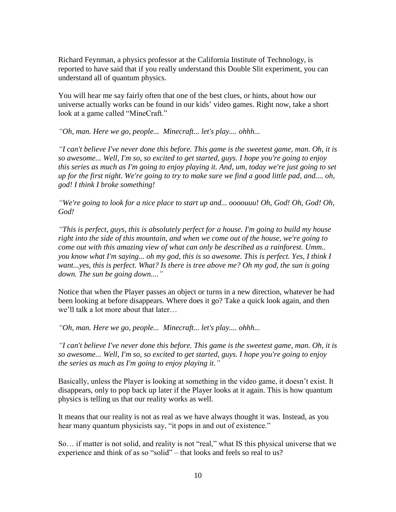Richard Feynman, a physics professor at the California Institute of Technology, is reported to have said that if you really understand this Double Slit experiment, you can understand all of quantum physics.

You will hear me say fairly often that one of the best clues, or hints, about how our universe actually works can be found in our kids" video games. Right now, take a short look at a game called "MineCraft."

*"Oh, man. Here we go, people... Minecraft... let's play.... ohhh...*

*"I can't believe I've never done this before. This game is the sweetest game, man. Oh, it is so awesome... Well, I'm so, so excited to get started, guys. I hope you're going to enjoy this series as much as I'm going to enjoy playing it. And, um, today we're just going to set up for the first night. We're going to try to make sure we find a good little pad, and.... oh, god! I think I broke something!*

*"We're going to look for a nice place to start up and... oooouuu! Oh, God! Oh, God! Oh, God!*

*"This is perfect, guys, this is absolutely perfect for a house. I'm going to build my house right into the side of this mountain, and when we come out of the house, we're going to come out with this amazing view of what can only be described as a rainforest. Umm.. you know what I'm saying... oh my god, this is so awesome. This is perfect. Yes, I think I want...yes, this is perfect. What? Is there is tree above me? Oh my god, the sun is going down. The sun be going down...."*

Notice that when the Player passes an object or turns in a new direction, whatever he had been looking at before disappears. Where does it go? Take a quick look again, and then we"ll talk a lot more about that later…

*"Oh, man. Here we go, people... Minecraft... let's play.... ohhh...*

*"I can't believe I've never done this before. This game is the sweetest game, man. Oh, it is so awesome... Well, I'm so, so excited to get started, guys. I hope you're going to enjoy the series as much as I'm going to enjoy playing it."*

Basically, unless the Player is looking at something in the video game, it doesn"t exist. It disappears, only to pop back up later if the Player looks at it again. This is how quantum physics is telling us that our reality works as well.

It means that our reality is not as real as we have always thought it was. Instead, as you hear many quantum physicists say, "it pops in and out of existence."

So… if matter is not solid, and reality is not "real," what IS this physical universe that we experience and think of as so "solid" – that looks and feels so real to us?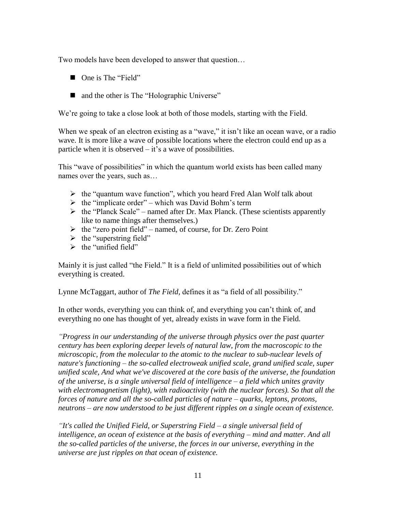Two models have been developed to answer that question…

- One is The "Field"
- and the other is The "Holographic Universe"

We're going to take a close look at both of those models, starting with the Field.

When we speak of an electron existing as a "wave," it isn't like an ocean wave, or a radio wave. It is more like a wave of possible locations where the electron could end up as a particle when it is observed  $-$  it's a wave of possibilities.

This "wave of possibilities" in which the quantum world exists has been called many names over the years, such as…

- $\triangleright$  the "quantum wave function", which you heard Fred Alan Wolf talk about
- $\triangleright$  the "implicate order" which was David Bohm's term
- $\triangleright$  the "Planck Scale" named after Dr. Max Planck. (These scientists apparently like to name things after themselves.)
- $\triangleright$  the "zero point field" named, of course, for Dr. Zero Point
- $\triangleright$  the "superstring field"
- $\triangleright$  the "unified field"

Mainly it is just called "the Field." It is a field of unlimited possibilities out of which everything is created.

Lynne McTaggart, author of *The Field*, defines it as "a field of all possibility."

In other words, everything you can think of, and everything you can"t think of, and everything no one has thought of yet, already exists in wave form in the Field.

*"Progress in our understanding of the universe through physics over the past quarter century has been exploring deeper levels of natural law, from the macroscopic to the microscopic, from the molecular to the atomic to the nuclear to sub-nuclear levels of nature's functioning – the so-called electroweak unified scale, grand unified scale, super unified scale, And what we've discovered at the core basis of the universe, the foundation of the universe, is a single universal field of intelligence – a field which unites gravity with electromagnetism (light), with radioactivity (with the nuclear forces). So that all the forces of nature and all the so-called particles of nature – quarks, leptons, protons, neutrons* – *are now understood to be just different ripples on a single ocean of existence.*

*"It's called the Unified Field, or Superstring Field* – *a single universal field of*  intelligence, an ocean of existence at the basis of everything – mind and matter. And all *the so-called particles of the universe, the forces in our universe, everything in the universe are just ripples on that ocean of existence.*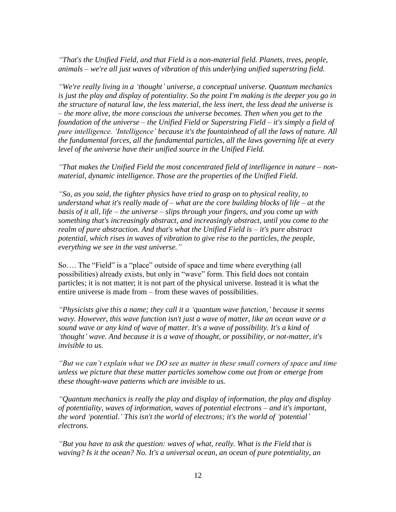*"That's the Unified Field, and that Field is a non-material field. Planets, trees, people, animals* – *we're all just waves of vibration of this underlying unified superstring field.*

*"We're really living in a "thought" universe, a conceptual universe. Quantum mechanics is just the play and display of potentiality. So the point I'm making is the deeper you go in the structure of natural law, the less material, the less inert, the less dead the universe is*  – *the more alive, the more conscious the universe becomes. Then when you get to the foundation of the universe* – *the Unified Field or Superstring Field* – *it's simply a field of pure intelligence. "Intelligence" because it's the fountainhead of all the laws of nature. All the fundamental forces, all the fundamental particles, all the laws governing life at every level of the universe have their unified source in the Unified Field.* 

*"That makes the Unified Field the most concentrated field of intelligence in nature – nonmaterial, dynamic intelligence. Those are the properties of the Unified Field.* 

*"So, as you said, the tighter physics have tried to grasp on to physical reality, to understand what it's really made of – what are the core building blocks of life – at the basis of it all, life* – *the universe* – *slips through your fingers, and you come up with something that's increasingly abstract, and increasingly abstract, until you come to the realm of pure abstraction. And that's what the Unified Field is – it's pure abstract potential, which rises in waves of vibration to give rise to the particles, the people, everything we see in the vast universe."*

So…. The "Field" is a "place" outside of space and time where everything (all possibilities) already exists, but only in "wave" form. This field does not contain particles; it is not matter; it is not part of the physical universe. Instead it is what the entire universe is made from – from these waves of possibilities.

*"Physicists give this a name; they call it a "quantum wave function," because it seems wavy. However, this wave function isn't just a wave of matter, like an ocean wave or a sound wave or any kind of wave of matter. It's a wave of possibility. It's a kind of "thought" wave. And because it is a wave of thought, or possibility, or not-matter, it's invisible to us.*

*"But we can"t explain what we DO see as matter in these small corners of space and time unless we picture that these matter particles somehow come out from or emerge from these thought-wave patterns which are invisible to us.*

*"Quantum mechanics is really the play and display of information, the play and display of potentiality, waves of information, waves of potential electrons* – *and it's important, the word "potential." This isn't the world of electrons; it's the world of "potential" electrons.*

*"But you have to ask the question: waves of what, really. What is the Field that is waving? Is it the ocean? No. It's a universal ocean, an ocean of pure potentiality, an*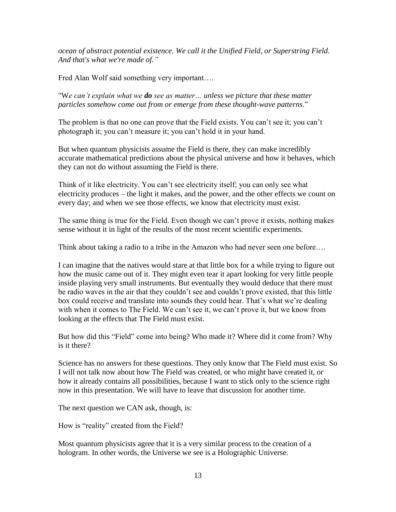*ocean of abstract potential existence. We call it the Unified Field, or Superstring Field. And that's what we're made of."*

Fred Alan Wolf said something very important….

"W*e can"t explain what we do see as matter… unless we picture that these matter particles somehow come out from or emerge from these thought-wave patterns*."

The problem is that no one can prove that the Field exists. You can't see it; you can't photograph it; you can"t measure it; you can"t hold it in your hand.

But when quantum physicists assume the Field is there, they can make incredibly accurate mathematical predictions about the physical universe and how it behaves, which they can not do without assuming the Field is there.

Think of it like electricity. You can"t see electricity itself; you can only see what electricity produces – the light it makes, and the power, and the other effects we count on every day; and when we see those effects, we know that electricity must exist.

The same thing is true for the Field. Even though we can"t prove it exists, nothing makes sense without it in light of the results of the most recent scientific experiments.

Think about taking a radio to a tribe in the Amazon who had never seen one before….

I can imagine that the natives would stare at that little box for a while trying to figure out how the music came out of it. They might even tear it apart looking for very little people inside playing very small instruments. But eventually they would deduce that there must be radio waves in the air that they couldn"t see and couldn"t prove existed, that this little box could receive and translate into sounds they could hear. That's what we're dealing with when it comes to The Field. We can't see it, we can't prove it, but we know from looking at the effects that The Field must exist.

But how did this "Field" come into being? Who made it? Where did it come from? Why is it there?

Science has no answers for these questions. They only know that The Field must exist. So I will not talk now about how The Field was created, or who might have created it, or how it already contains all possibilities, because I want to stick only to the science right now in this presentation. We will have to leave that discussion for another time.

The next question we CAN ask, though, is:

How is "reality" created from the Field?

Most quantum physicists agree that it is a very similar process to the creation of a hologram. In other words, the Universe we see is a Holographic Universe.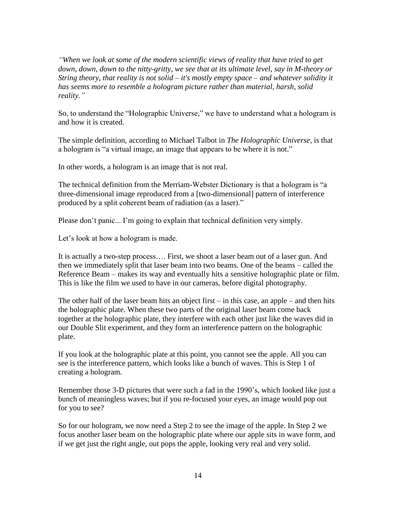*"When we look at some of the modern scientific views of reality that have tried to get down, down, down to the nitty-gritty, we see that at its ultimate level, say in M-theory or String theory, that reality is not solid* – *it's mostly empty space* – *and whatever solidity it has seems more to resemble a hologram picture rather than material, harsh, solid reality."*

So, to understand the "Holographic Universe," we have to understand what a hologram is and how it is created.

The simple definition, according to Michael Talbot in *The Holographic Universe*, is that a hologram is "a virtual image, an image that appears to be where it is not."

In other words, a hologram is an image that is not real.

The technical definition from the Merriam-Webster Dictionary is that a hologram is "a three-dimensional image reproduced from a [two-dimensional] pattern of interference produced by a split coherent beam of radiation (as a laser)."

Please don't panic... I'm going to explain that technical definition very simply.

Let's look at how a hologram is made.

It is actually a two-step process…. First, we shoot a laser beam out of a laser gun. And then we immediately split that laser beam into two beams. One of the beams – called the Reference Beam – makes its way and eventually hits a sensitive holographic plate or film. This is like the film we used to have in our cameras, before digital photography.

The other half of the laser beam hits an object first  $-$  in this case, an apple  $-$  and then hits the holographic plate. When these two parts of the original laser beam come back together at the holographic plate, they interfere with each other just like the waves did in our Double Slit experiment, and they form an interference pattern on the holographic plate.

If you look at the holographic plate at this point, you cannot see the apple. All you can see is the interference pattern, which looks like a bunch of waves. This is Step 1 of creating a hologram.

Remember those 3-D pictures that were such a fad in the 1990"s, which looked like just a bunch of meaningless waves; but if you re-focused your eyes, an image would pop out for you to see?

So for our hologram, we now need a Step 2 to see the image of the apple. In Step 2 we focus another laser beam on the holographic plate where our apple sits in wave form, and if we get just the right angle, out pops the apple, looking very real and very solid.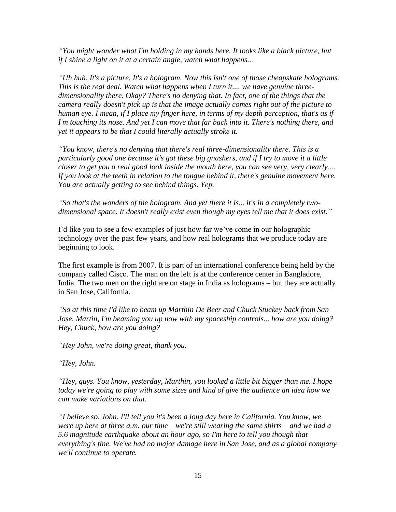*"You might wonder what I'm holding in my hands here. It looks like a black picture, but if I shine a light on it at a certain angle, watch what happens...*

*"Uh huh. It's a picture. It's a hologram. Now this isn't one of those cheapskate holograms. This is the real deal. Watch what happens when I turn it.... we have genuine threedimensionality there. Okay? There's no denying that. In fact, one of the things that the camera really doesn't pick up is that the image actually comes right out of the picture to human eye. I mean, if I place my finger here, in terms of my depth perception, that's as if I'm touching its nose. And yet I can move that far back into it. There's nothing there, and yet it appears to be that I could literally actually stroke it.*

*"You know, there's no denying that there's real three-dimensionality there. This is a particularly good one because it's got these big gnashers, and if I try to move it a little closer to get you a real good look inside the mouth here, you can see very, very clearly.... If you look at the teeth in relation to the tongue behind it, there's genuine movement here. You are actually getting to see behind things. Yep.*

*"So that's the wonders of the hologram. And yet there it is... it's in a completely twodimensional space. It doesn't really exist even though my eyes tell me that it does exist."*

I'd like you to see a few examples of just how far we've come in our holographic technology over the past few years, and how real holograms that we produce today are beginning to look.

The first example is from 2007. It is part of an international conference being held by the company called Cisco. The man on the left is at the conference center in Bangladore, India. The two men on the right are on stage in India as holograms – but they are actually in San Jose, California.

*"So at this time I'd like to beam up Marthin De Beer and Chuck Stuckey back from San Jose. Martin, I'm beaming you up now with my spaceship controls... how are you doing? Hey, Chuck, how are you doing?*

*"Hey John, we're doing great, thank you.*

*"Hey, John.*

*"Hey, guys. You know, yesterday, Marthin, you looked a little bit bigger than me. I hope today we're going to play with some sizes and kind of give the audience an idea how we can make variations on that.*

*"I believe so, John. I'll tell you it's been a long day here in California. You know, we were up here at three a.m. our time – we're still wearing the same shirts – and we had a 5.6 magnitude earthquake about an hour ago, so I'm here to tell you though that everything's fine. We've had no major damage here in San Jose, and as a global company we'll continue to operate.*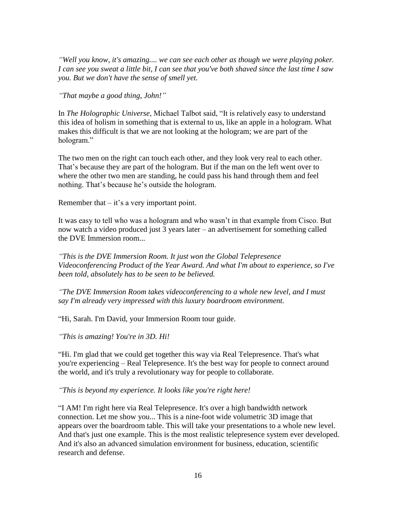*"Well you know, it's amazing.... we can see each other as though we were playing poker. I can see you sweat a little bit, I can see that you've both shaved since the last time I saw you. But we don't have the sense of smell yet.*

*"That maybe a good thing, John!"*

In *The Holographic Universe*, Michael Talbot said, "It is relatively easy to understand this idea of holism in something that is external to us, like an apple in a hologram. What makes this difficult is that we are not looking at the hologram; we are part of the hologram."

The two men on the right can touch each other, and they look very real to each other. That's because they are part of the hologram. But if the man on the left went over to where the other two men are standing, he could pass his hand through them and feel nothing. That's because he's outside the hologram.

Remember that  $-$  it's a very important point.

It was easy to tell who was a hologram and who wasn"t in that example from Cisco. But now watch a video produced just 3 years later – an advertisement for something called the DVE Immersion room...

*"This is the DVE Immersion Room. It just won the Global Telepresence Videoconferencing Product of the Year Award. And what I'm about to experience, so I've been told, absolutely has to be seen to be believed.* 

*"The DVE Immersion Room takes videoconferencing to a whole new level, and I must say I'm already very impressed with this luxury boardroom environment.*

"Hi, Sarah. I'm David, your Immersion Room tour guide.

*"This is amazing! You're in 3D. Hi!*

"Hi. I'm glad that we could get together this way via Real Telepresence. That's what you're experiencing – Real Telepresence. It's the best way for people to connect around the world, and it's truly a revolutionary way for people to collaborate.

*"This is beyond my experience. It looks like you're right here!*

"I AM! I'm right here via Real Telepresence. It's over a high bandwidth network connection. Let me show you... This is a nine-foot wide volumetric 3D image that appears over the boardroom table. This will take your presentations to a whole new level. And that's just one example. This is the most realistic telepresence system ever developed. And it's also an advanced simulation environment for business, education, scientific research and defense.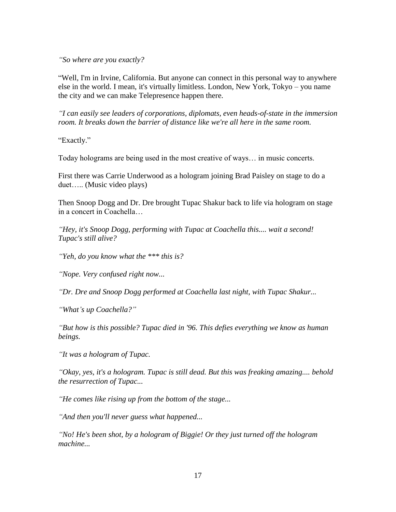*"So where are you exactly?*

"Well, I'm in Irvine, California. But anyone can connect in this personal way to anywhere else in the world. I mean, it's virtually limitless. London, New York, Tokyo – you name the city and we can make Telepresence happen there.

*"I can easily see leaders of corporations, diplomats, even heads-of-state in the immersion room. It breaks down the barrier of distance like we're all here in the same room.* 

"Exactly."

Today holograms are being used in the most creative of ways… in music concerts.

First there was Carrie Underwood as a hologram joining Brad Paisley on stage to do a duet….. (Music video plays)

Then Snoop Dogg and Dr. Dre brought Tupac Shakur back to life via hologram on stage in a concert in Coachella…

*"Hey, it's Snoop Dogg, performing with Tupac at Coachella this.... wait a second! Tupac's still alive?*

*"Yeh, do you know what the \*\*\* this is?*

*"Nope. Very confused right now...*

*"Dr. Dre and Snoop Dogg performed at Coachella last night, with Tupac Shakur...*

*"What"s up Coachella?"*

*"But how is this possible? Tupac died in '96. This defies everything we know as human beings.*

*"It was a hologram of Tupac.*

*"Okay, yes, it's a hologram. Tupac is still dead. But this was freaking amazing.... behold the resurrection of Tupac...*

*"He comes like rising up from the bottom of the stage...*

*"And then you'll never guess what happened...*

*"No! He's been shot, by a hologram of Biggie! Or they just turned off the hologram machine...*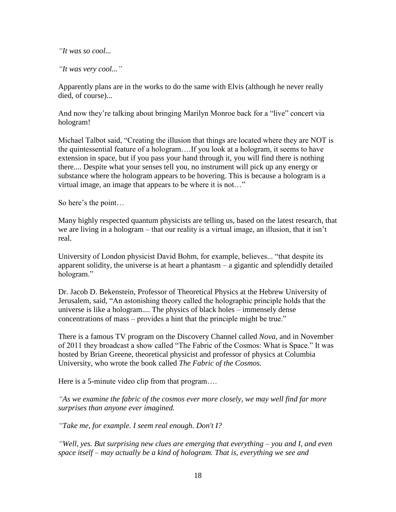*"It was so cool...*

*"It was very cool..."*

Apparently plans are in the works to do the same with Elvis (although he never really died, of course)...

And now they"re talking about bringing Marilyn Monroe back for a "live" concert via hologram!

Michael Talbot said, "Creating the illusion that things are located where they are NOT is the quintessential feature of a hologram….If you look at a hologram, it seems to have extension in space, but if you pass your hand through it, you will find there is nothing there.... Despite what your senses tell you, no instrument will pick up any energy or substance where the hologram appears to be hovering. This is because a hologram is a virtual image, an image that appears to be where it is not…"

So here's the point...

Many highly respected quantum physicists are telling us, based on the latest research, that we are living in a hologram – that our reality is a virtual image, an illusion, that it isn"t real.

University of London physicist David Bohm, for example, believes... "that despite its apparent solidity, the universe is at heart a phantasm – a gigantic and splendidly detailed hologram."

Dr. Jacob D. Bekenstein, Professor of Theoretical Physics at the Hebrew University of Jerusalem, said, "An astonishing theory called the holographic principle holds that the universe is like a hologram.... The physics of black holes – immensely dense concentrations of mass – provides a hint that the principle might be true."

There is a famous TV program on the Discovery Channel called *Nova*, and in November of 2011 they broadcast a show called "The Fabric of the Cosmos: What is Space." It was hosted by Brian Greene, theoretical physicist and professor of physics at Columbia University, who wrote the book called *The Fabric of the Cosmos.*

Here is a 5-minute video clip from that program...

*"As we examine the fabric of the cosmos ever more closely, we may well find far more surprises than anyone ever imagined.*

*"Take me, for example. I seem real enough. Don't I?*

*"Well, yes. But surprising new clues are emerging that everything – you and I, and even space itself – may actually be a kind of hologram. That is, everything we see and*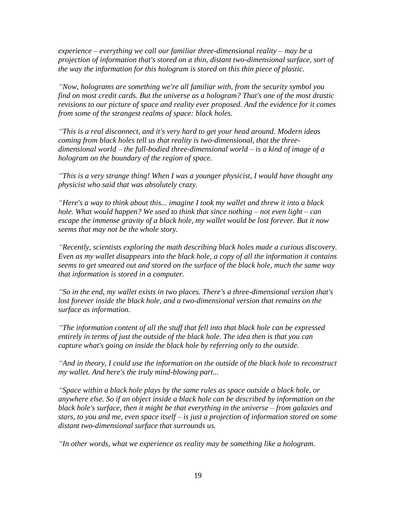*experience – everything we call our familiar three-dimensional reality – may be a projection of information that's stored on a thin, distant two-dimensional surface, sort of the way the information for this hologram is stored on this thin piece of plastic.*

*"Now, holograms are something we're all familiar with, from the security symbol you find on most credit cards. But the universe as a hologram? That's one of the most drastic revisions to our picture of space and reality ever proposed. And the evidence for it comes from some of the strangest realms of space: black holes.* 

*"This is a real disconnect, and it's very hard to get your head around. Modern ideas coming from black holes tell us that reality is two-dimensional, that the threedimensional world – the full-bodied three-dimensional world – is a kind of image of a hologram on the boundary of the region of space.*

*"This is a very strange thing! When I was a younger physicist, I would have thought any physicist who said that was absolutely crazy.* 

*"Here's a way to think about this... imagine I took my wallet and threw it into a black hole. What would happen? We used to think that since nothing – not even light – can escape the immense gravity of a black hole, my wallet would be lost forever. But it now seems that may not be the whole story.* 

*"Recently, scientists exploring the math describing black holes made a curious discovery. Even as my wallet disappears into the black hole, a copy of all the information it contains seems to get smeared out and stored on the surface of the black hole, much the same way that information is stored in a computer.* 

*"So in the end, my wallet exists in two places. There's a three-dimensional version that's*  lost forever inside the black hole, and a two-dimensional version that remains on the *surface as information.*

*"The information content of all the stuff that fell into that black hole can be expressed entirely in terms of just the outside of the black hole. The idea then is that you can capture what's going on inside the black hole by referring only to the outside.*

*"And in theory, I could use the information on the outside of the black hole to reconstruct my wallet. And here's the truly mind-blowing part...*

*"Space within a black hole plays by the same rules as space outside a black hole, or anywhere else. So if an object inside a black hole can be described by information on the black hole's surface, then it might be that everything in the universe – from galaxies and stars, to you and me, even space itself – is just a projection of information stored on some distant two-dimensional surface that surrounds us.* 

*"In other words, what we experience as reality may be something like a hologram.*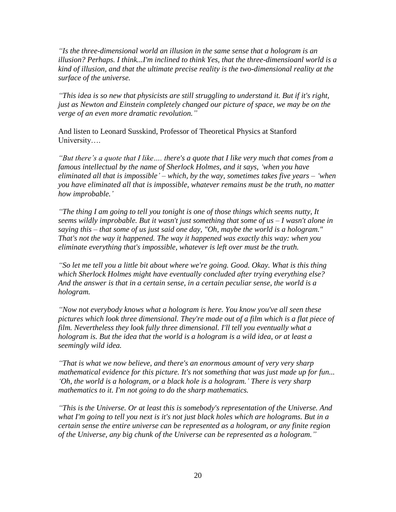*"Is the three-dimensional world an illusion in the same sense that a hologram is an illusion? Perhaps. I think...I'm inclined to think Yes, that the three-dimensioanl world is a kind of illusion, and that the ultimate precise reality is the two-dimensional reality at the surface of the universe.*

*"This idea is so new that physicists are still struggling to understand it. But if it's right, just as Newton and Einstein completely changed our picture of space, we may be on the verge of an even more dramatic revolution."*

And listen to Leonard Susskind, Professor of Theoretical Physics at Stanford University….

*"But there"s a quote that I like…. there's a quote that I like very much that comes from a famous intellectual by the name of Sherlock Holmes, and it says, "when you have eliminated all that is impossible" – which, by the way, sometimes takes five years – "when you have eliminated all that is impossible, whatever remains must be the truth, no matter how improbable."*

*"The thing I am going to tell you tonight is one of those things which seems nutty, It seems wildly improbable. But it wasn't just something that some of us – I wasn't alone in saying this – that some of us just said one day, "Oh, maybe the world is a hologram." That's not the way it happened. The way it happened was exactly this way: when you eliminate everything that's impossible, whatever is left over must be the truth.* 

*"So let me tell you a little bit about where we're going. Good. Okay. What is this thing which Sherlock Holmes might have eventually concluded after trying everything else? And the answer is that in a certain sense, in a certain peculiar sense, the world is a hologram.*

*"Now not everybody knows what a hologram is here. You know you've all seen these pictures which look three dimensional. They're made out of a film which is a flat piece of film. Nevertheless they look fully three dimensional. I'll tell you eventually what a hologram is. But the idea that the world is a hologram is a wild idea, or at least a seemingly wild idea.* 

*"That is what we now believe, and there's an enormous amount of very very sharp mathematical evidence for this picture. It's not something that was just made up for fun... "Oh, the world is a hologram, or a black hole is a hologram." There is very sharp mathematics to it. I'm not going to do the sharp mathematics.*

*"This is the Universe. Or at least this is somebody's representation of the Universe. And what I'm going to tell you next is it's not just black holes which are holograms. But in a certain sense the entire universe can be represented as a hologram, or any finite region of the Universe, any big chunk of the Universe can be represented as a hologram."*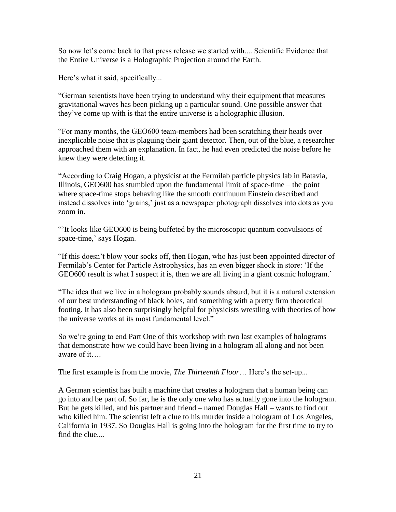So now let's come back to that press release we started with.... Scientific Evidence that the Entire Universe is a Holographic Projection around the Earth.

Here's what it said, specifically...

"German scientists have been trying to understand why their equipment that measures gravitational waves has been picking up a particular sound. One possible answer that they"ve come up with is that the entire universe is a holographic illusion.

"For many months, the GEO600 team-members had been scratching their heads over inexplicable noise that is plaguing their giant detector. Then, out of the blue, a researcher approached them with an explanation. In fact, he had even predicted the noise before he knew they were detecting it.

"According to Craig Hogan, a physicist at the Fermilab particle physics lab in Batavia, Illinois, GEO600 has stumbled upon the fundamental limit of space-time – the point where space-time stops behaving like the smooth continuum Einstein described and instead dissolves into 'grains,' just as a newspaper photograph dissolves into dots as you zoom in.

""It looks like GEO600 is being buffeted by the microscopic quantum convulsions of space-time,' says Hogan.

"If this doesn"t blow your socks off, then Hogan, who has just been appointed director of Fermilab's Center for Particle Astrophysics, has an even bigger shock in store: 'If the GEO600 result is what I suspect it is, then we are all living in a giant cosmic hologram.'

"The idea that we live in a hologram probably sounds absurd, but it is a natural extension of our best understanding of black holes, and something with a pretty firm theoretical footing. It has also been surprisingly helpful for physicists wrestling with theories of how the universe works at its most fundamental level."

So we"re going to end Part One of this workshop with two last examples of holograms that demonstrate how we could have been living in a hologram all along and not been aware of it….

The first example is from the movie, *The Thirteenth Floor*… Here"s the set-up...

A German scientist has built a machine that creates a hologram that a human being can go into and be part of. So far, he is the only one who has actually gone into the hologram. But he gets killed, and his partner and friend – named Douglas Hall – wants to find out who killed him. The scientist left a clue to his murder inside a hologram of Los Angeles, California in 1937. So Douglas Hall is going into the hologram for the first time to try to find the clue....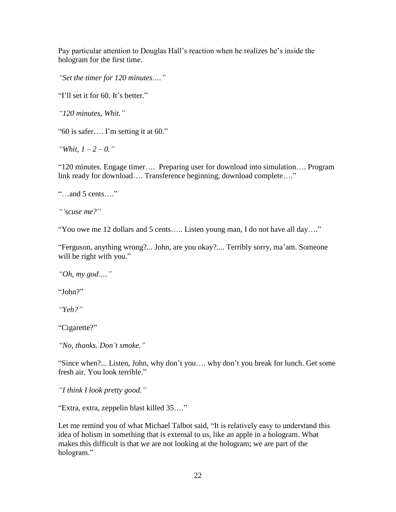Pay particular attention to Douglas Hall"s reaction when he realizes he"s inside the hologram for the first time.

*"Set the timer for 120 minutes…."*

"I'll set it for 60. It's better."

*"120 minutes, Whit."*

"60 is safer…. I"m setting it at 60."

*"Whit, 1 – 2 – 0."*

"120 minutes. Engage timer…. Preparing user for download into simulation…. Program link ready for download…. Transference beginning, download complete…."

"…and 5 cents…."

*""scuse me?"*

"You owe me 12 dollars and 5 cents….. Listen young man, I do not have all day…."

"Ferguson, anything wrong?... John, are you okay?.... Terribly sorry, ma"am. Someone will be right with you."

*"Oh, my god…."*

"John?"

*"Yeh?"*

"Cigarette?"

*"No, thanks. Don"t smoke."*

"Since when?... Listen, John, why don"t you…. why don"t you break for lunch. Get some fresh air. You look terrible."

*"I think I look pretty good."*

"Extra, extra, zeppelin blast killed 35…."

Let me remind you of what Michael Talbot said, "It is relatively easy to understand this idea of holism in something that is external to us, like an apple in a hologram. What makes this difficult is that we are not looking at the hologram; we are part of the hologram."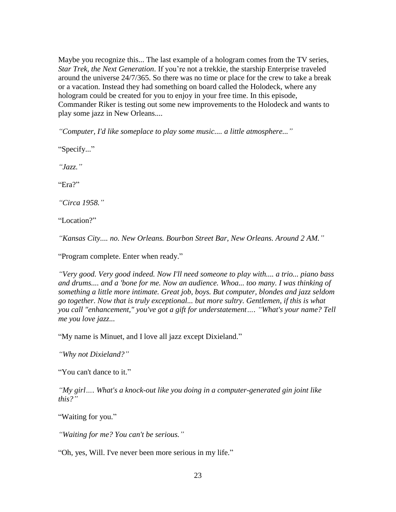Maybe you recognize this... The last example of a hologram comes from the TV series, *Star Trek, the Next Generation*. If you"re not a trekkie, the starship Enterprise traveled around the universe 24/7/365. So there was no time or place for the crew to take a break or a vacation. Instead they had something on board called the Holodeck, where any hologram could be created for you to enjoy in your free time. In this episode, Commander Riker is testing out some new improvements to the Holodeck and wants to play some jazz in New Orleans....

*"Computer, I'd like someplace to play some music.... a little atmosphere..."*

"Specify..."

*"Jazz."*

"Era?"

*"Circa 1958."*

"Location?"

*"Kansas City.... no. New Orleans. Bourbon Street Bar, New Orleans. Around 2 AM."*

"Program complete. Enter when ready."

*"Very good. Very good indeed. Now I'll need someone to play with.... a trio... piano bass and drums.... and a 'bone for me. Now an audience. Whoa... too many. I was thinking of something a little more intimate. Great job, boys. But computer, blondes and jazz seldom go together. Now that is truly exceptional... but more sultry. Gentlemen, if this is what you call "enhancement," you've got a gift for understatement…. "What's your name? Tell me you love jazz...*

"My name is Minuet, and I love all jazz except Dixieland."

*"Why not Dixieland?"*

"You can't dance to it."

*"My girl…. What's a knock-out like you doing in a computer-generated gin joint like this?"*

"Waiting for you."

*"Waiting for me? You can't be serious."*

"Oh, yes, Will. I've never been more serious in my life."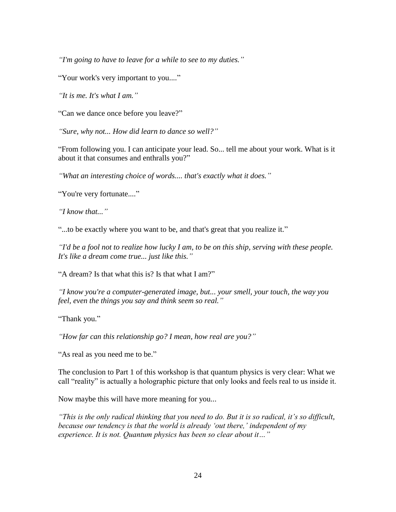*"I'm going to have to leave for a while to see to my duties."*

"Your work's very important to you...."

*"It is me. It's what I am."*

"Can we dance once before you leave?"

*"Sure, why not... How did learn to dance so well?"*

"From following you. I can anticipate your lead. So... tell me about your work. What is it about it that consumes and enthralls you?"

*"What an interesting choice of words.... that's exactly what it does."*

"You're very fortunate...."

*"I know that..."*

"...to be exactly where you want to be, and that's great that you realize it."

*"I'd be a fool not to realize how lucky I am, to be on this ship, serving with these people. It's like a dream come true... just like this."*

"A dream? Is that what this is? Is that what I am?"

*"I know you're a computer-generated image, but... your smell, your touch, the way you feel, even the things you say and think seem so real."*

"Thank you."

*"How far can this relationship go? I mean, how real are you?"*

"As real as you need me to be."

The conclusion to Part 1 of this workshop is that quantum physics is very clear: What we call "reality" is actually a holographic picture that only looks and feels real to us inside it.

Now maybe this will have more meaning for you...

*"This is the only radical thinking that you need to do. But it is so radical, it"s so difficult, because our tendency is that the world is already 'out there,' independent of my experience. It is not. Quantum physics has been so clear about it…"*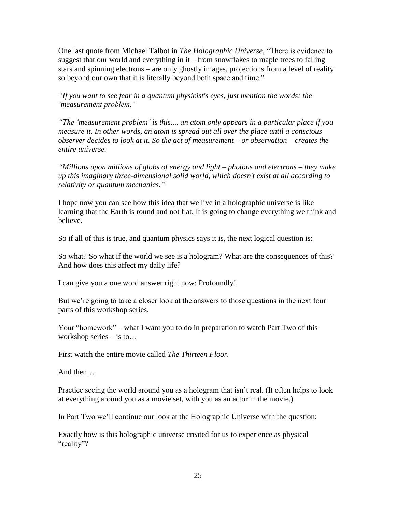One last quote from Michael Talbot in *The Holographic Universe*, "There is evidence to suggest that our world and everything in it – from snowflakes to maple trees to falling stars and spinning electrons – are only ghostly images, projections from a level of reality so beyond our own that it is literally beyond both space and time."

*"If you want to see fear in a quantum physicist's eyes, just mention the words: the "measurement problem."*

*"The "measurement problem" is this.... an atom only appears in a particular place if you measure it. In other words, an atom is spread out all over the place until a conscious observer decides to look at it. So the act of measurement – or observation – creates the entire universe.*

*"Millions upon millions of globs of energy and light – photons and electrons – they make up this imaginary three-dimensional solid world, which doesn't exist at all according to relativity or quantum mechanics."*

I hope now you can see how this idea that we live in a holographic universe is like learning that the Earth is round and not flat. It is going to change everything we think and believe.

So if all of this is true, and quantum physics says it is, the next logical question is:

So what? So what if the world we see is a hologram? What are the consequences of this? And how does this affect my daily life?

I can give you a one word answer right now: Profoundly!

But we're going to take a closer look at the answers to those questions in the next four parts of this workshop series.

Your "homework" – what I want you to do in preparation to watch Part Two of this workshop series – is to…

First watch the entire movie called *The Thirteen Floor.*

And then…

Practice seeing the world around you as a hologram that isn't real. (It often helps to look at everything around you as a movie set, with you as an actor in the movie.)

In Part Two we"ll continue our look at the Holographic Universe with the question:

Exactly how is this holographic universe created for us to experience as physical "reality"?